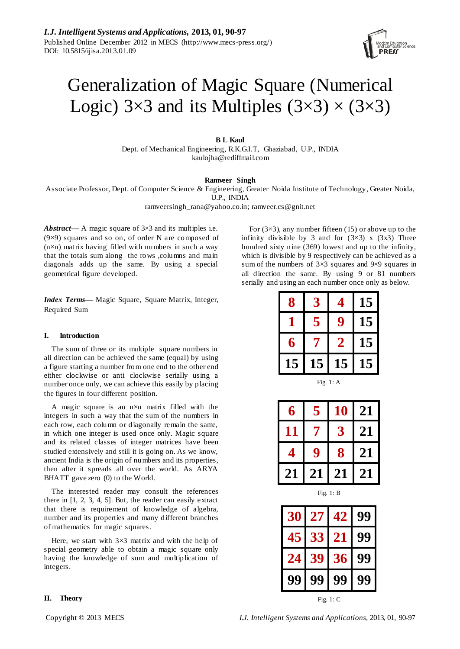# Generalization of Magic Square (Numerical Logic)  $3 \times 3$  and its Multiples  $(3 \times 3) \times (3 \times 3)$

# **B L Kaul**

Dept. of Mechanical Engineering, R.K.G.I.T, Ghaziabad, U.P., INDIA kaulojha@rediffmail.com

#### **Ramveer Singh**

Associate Professor, Dept. of Computer Science & Engineering, Greater Noida Institute of Technology, Greater Noida, U.P., INDIA

ramveersingh\_rana@yahoo.co.in; ramveer.cs@gnit.net

*Abstract***—** A magic square of 3×3 and its multiples i.e. (9×9) squares and so on, of order N are composed of  $(n \times n)$  matrix having filled with numbers in such a way that the totals sum along the rows ,columns and main diagonals adds up the same. By using a special geometrical figure developed.

*Index Terms***—** Magic Square, Square Matrix, Integer, Required Sum

#### **I. Introduction**

The sum of three or its multiple square numbers in all direction can be achieved the same (equal) by using a figure starting a number from one end to the other end either clockwise or anti clockwise serially using a number once only, we can achieve this easily by placing the figures in four different position.

A magic square is an  $n \times n$  matrix filled with the integers in such a way that the sum of the numbers in each row, each column or diagonally remain the same, in which one integer is used once only. Magic square and its related classes of integer matrices have been studied extensively and still it is going on. As we know, ancient India is the origin of numbers and its properties, then after it spreads all over the world. As ARYA BHATT gave zero (0) to the World.

The interested reader may consult the references there in [1, 2, 3, 4, 5]. But, the reader can easily extract that there is requirement of knowledge of algebra, number and its properties and many different branches of mathematics for magic squares.

Here, we start with  $3 \times 3$  matrix and with the help of special geometry able to obtain a magic square only having the knowledge of sum and multiplication of integers.

For  $(3 \times 3)$ , any number fifteen (15) or above up to the infinity divisible by 3 and for  $(3\times3)$  x  $(3\times3)$  Three hundred sixty nine (369) lowest and up to the infinity, which is divisible by 9 respectively can be achieved as a sum of the numbers of  $3 \times 3$  squares and  $9 \times 9$  squares in all direction the same. By using 9 or 81 numbers serially and using an each number once only as below.

| 8  | 3  | 4  | l5              |
|----|----|----|-----------------|
|    | 5  | g  | 15              |
| 6  |    | 2  | 15              |
| 15 | 15 | 15 | $\overline{.5}$ |

Fig. 1: A

| 6  | 5  | 10 | 21 |
|----|----|----|----|
| 11 | 7  | 3  | 21 |
| Δ  | 9  | 8  | 21 |
| 21 | 21 | 21 | 21 |

Fig. 1: B

| 30 | 27 | 42          | 99 |
|----|----|-------------|----|
| 45 | 33 | 21          |    |
| 24 | 39 | 36          |    |
|    | 99 | 99          |    |
|    |    | Fig. $1: C$ |    |

# **II. Theory**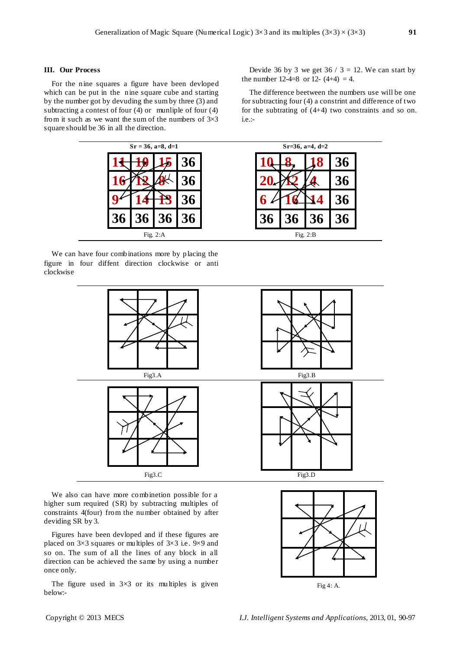#### **III. Our Process**

For the nine squares a figure have been devloped which can be put in the nine square cube and starting by the number got by devuding the sum by three (3) and subtracting a contest of four (4) or munliple of four (4) from it such as we want the sum of the numbers of  $3\times3$ square should be 36 in all the direction.

| $Sr = 36$ , a=8, d=1                    |                 |  |
|-----------------------------------------|-----------------|--|
|                                         |                 |  |
|                                         |                 |  |
|                                         |                 |  |
| 3 <sub>0</sub><br>$\boldsymbol{\theta}$ | $\overline{36}$ |  |
|                                         | Fig. $2:A$      |  |

We can have four combinations more by placing the figure in four diffent direction clockwise or anti clockwise



We also can have more combinetion possible for a higher sum required (SR) by subtracting multiples of constraints 4(four) from the number obtained by after deviding SR by 3.

Figures have been devloped and if these figures are placed on 3×3 squares or multiples of 3×3 i.e. 9×9 and so on. The sum of all the lines of any block in all direction can be achieved the same by using a number once only.

The figure used in  $3 \times 3$  or its multiples is given below:-

Devide 36 by 3 we get  $36 / 3 = 12$ . We can start by the number 12-4=8 or 12- $(4+4) = 4$ .

The difference beetween the numbers use will be one for subtracting four (4) a constrint and difference of two for the subtrating of (4+4) two constraints and so on. i.e.:-



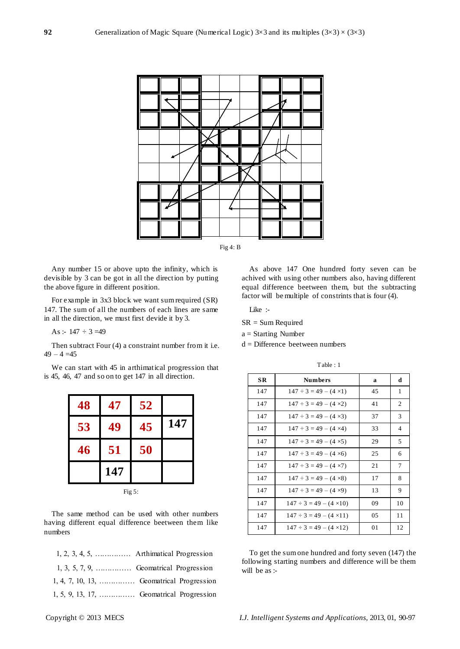



Any number 15 or above upto the infinity, which is devisible by 3 can be got in all the direction by putting the above figure in different position.

For example in 3x3 block we want sum required (SR) 147. The sum of all the numbers of each lines are same in all the direction, we must first devide it by 3.

As :-  $147 \div 3 = 49$ 

Then subtract Four (4) a constraint number from it i.e.  $49 - 4 = 45$ 

We can start with 45 in arthimatical progression that is 45, 46, 47 and so on to get 147 in all direction.

| 48 | 47  | 52 |     |
|----|-----|----|-----|
| 53 | 49  | 45 | 147 |
| 46 | 51  | 50 |     |
|    | 147 |    |     |

Fig 5:

The same method can be used with other numbers having different equal difference beetween them like numbers

| $1, 2, 3, 4, 5, \ldots$ Arthimatical Progression  |
|---------------------------------------------------|
| $1, 3, 5, 7, 9, \ldots$ Geomatrical Progression   |
| $1, 4, 7, 10, 13, \ldots$ Geomatrical Progression |
| 1, 5, 9, 13, 17,  Geomatrical Progression         |

As above 147 One hundred forty seven can be achived with using other numbers also, having different equal difference beetween them, but the subtracting factor will be multiple of constrints that is four (4).

Like :-

SR = Sum Required

 $a = Starting$  Number

d = Difference beetween numbers

|     | Table: 1                          |    |                |
|-----|-----------------------------------|----|----------------|
| SR. | <b>Numbers</b>                    | a  | d              |
| 147 | $147 \div 3 = 49 - (4 \times 1)$  | 45 | 1              |
| 147 | $147 \div 3 = 49 - (4 \times 2)$  | 41 | 2              |
| 147 | $147 \div 3 = 49 - (4 \times 3)$  | 37 | 3              |
| 147 | $147 \div 3 = 49 - (4 \times 4)$  | 33 | $\overline{4}$ |
| 147 | $147 \div 3 = 49 - (4 \times 5)$  | 29 | 5              |
| 147 | $147 \div 3 = 49 - (4 \times 6)$  | 25 | 6              |
| 147 | $147 \div 3 = 49 - (4 \times 7)$  | 21 | 7              |
| 147 | $147 \div 3 = 49 - (4 \times 8)$  | 17 | 8              |
| 147 | $147 \div 3 = 49 - (4 \times 9)$  | 13 | 9              |
| 147 | $147 \div 3 = 49 - (4 \times 10)$ | 09 | 10             |
| 147 | $147 \div 3 = 49 - (4 \times 11)$ | 05 | 11             |

To get the sum one hundred and forty seven (147) the following starting numbers and difference will be them will be as :-

147  $147 \div 3 = 49 - (4 \times 12)$  01 12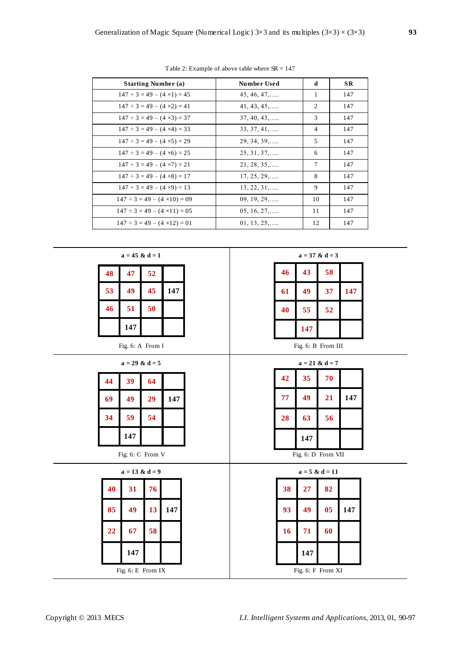| <b>Starting Number (a)</b>             | <b>Number Used</b>   | d              | <b>SR</b> |
|----------------------------------------|----------------------|----------------|-----------|
| $147 \div 3 = 49 - (4 \times 1) = 45$  | $45, 46, 47, \ldots$ | -1             | 147       |
| $147 \div 3 = 49 - (4 \times 2) = 41$  | $41, 43, 45, \ldots$ | 2              | 147       |
| $147 \div 3 = 49 - (4 \times 3) = 37$  | $37, 40, 43, \ldots$ | 3              | 147       |
| $147 \div 3 = 49 - (4 \times 4) = 33$  | $33, 37, 41, \ldots$ | $\overline{4}$ | 147       |
| $147 \div 3 = 49 - (4 \times 5) = 29$  | $29, 34, 39, \ldots$ | 5              | 147       |
| $147 \div 3 = 49 - (4 \times 6) = 25$  | $25, 31, 37, \ldots$ | 6              | 147       |
| $147 \div 3 = 49 - (4 \times 7) = 21$  | $21, 28, 35, \ldots$ | 7              | 147       |
| $147 \div 3 = 49 - (4 \times 8) = 17$  | $17, 25, 29, \ldots$ | 8              | 147       |
| $147 \div 3 = 49 - (4 \times 9) = 13$  | $13, 22, 31, \ldots$ | 9              | 147       |
| $147 \div 3 = 49 - (4 \times 10) = 09$ | $09, 19, 29, \ldots$ | 10             | 147       |
| $147 \div 3 = 49 - (4 \times 11) = 05$ | $05, 16, 27, \ldots$ | 11             | 147       |
| $147 \div 3 = 49 - (4 \times 12) = 01$ | $01, 13, 25, \ldots$ | 12             | 147       |

 $\top$ 

Table 2: Example of above table where SR = 147

|    | $a = 45 \& d = 1$  |                 |     |  |    |     | $a = 37$ & $d = 3$ |     |  |
|----|--------------------|-----------------|-----|--|----|-----|--------------------|-----|--|
| 48 | 47                 | 52              |     |  | 46 | 43  | 58                 |     |  |
| 53 | 49                 | 45              | 147 |  | 61 | 49  | 37                 | 147 |  |
| 46 | 51                 | 50              |     |  | 40 | 55  | 52                 |     |  |
|    | 147                |                 |     |  |    | 147 |                    |     |  |
|    | Fig. 6: A From I   |                 |     |  |    |     | Fig. 6: B From III |     |  |
|    | $a = 29$ & $d = 5$ |                 |     |  |    |     | $a = 21$ & $d = 7$ |     |  |
| 44 | 39                 | 64              |     |  | 42 | 35  | 70                 |     |  |
| 69 | 49                 | 29              | 147 |  | 77 | 49  | 21                 | 147 |  |
| 34 | 59                 | 54              |     |  | 28 | 63  | 56                 |     |  |
|    | 147                |                 |     |  |    | 147 |                    |     |  |
|    | Fig. 6: C From V   |                 |     |  |    |     | Fig. 6: D From VII |     |  |
|    | $a = 13$ & $d = 9$ |                 |     |  |    |     | $a = 5 & d = 11$   |     |  |
| 40 | 31                 | 76              |     |  | 38 | 27  | 82                 |     |  |
| 85 | 49                 | 13 <sup>7</sup> | 147 |  | 93 | 49  | 05                 | 147 |  |
| 22 | 67                 | 58              |     |  | 16 | 71  | 60                 |     |  |
|    | 147                |                 |     |  |    | 147 |                    |     |  |
|    | Fig. 6: E From IX  |                 |     |  |    |     | Fig. 6: F From XI  |     |  |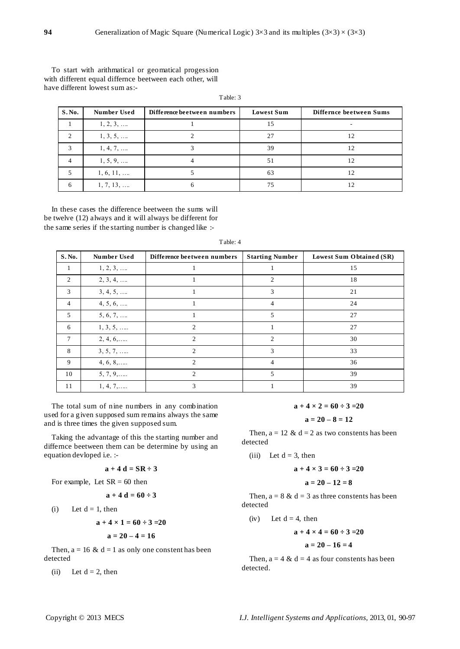To start with arithmatical or geomatical progession with different equal differnce beetween each other, will have different lowest sum as:-

| S. No. | <b>Number Used</b> | Difference beetween numbers | <b>Lowest Sum</b> | Differnce beetween Sums |
|--------|--------------------|-----------------------------|-------------------|-------------------------|
|        | $1, 2, 3, \ldots$  |                             | 15                |                         |
|        | $1, 3, 5, \ldots$  |                             | 27                |                         |
| 3      | $1, 4, 7, \ldots$  |                             | 39                | 12                      |
| 4      | $1, 5, 9, \ldots$  |                             | 51                | 12                      |
|        | $1, 6, 11, \ldots$ |                             | 63                | 12                      |
| 6      | $1, 7, 13, \ldots$ |                             | 75                |                         |

Table: 3

In these cases the difference beetween the sums will be twelve (12) always and it will always be different for the same series if the starting number is changed like :-

| S. No.         | <b>Number Used</b> | Difference beetween numbers | <b>Starting Number</b> | Lowest Sum Obtained (SR) |
|----------------|--------------------|-----------------------------|------------------------|--------------------------|
| 1              | $1, 2, 3, \ldots$  | л.                          | 1                      | 15                       |
| 2              | $2, 3, 4, \ldots$  |                             | 2                      | 18                       |
| 3              | $3, 4, 5, \ldots$  |                             | 3                      | 21                       |
| $\overline{4}$ | $4, 5, 6, \ldots$  |                             | 4                      | 24                       |
| 5              | $5, 6, 7, \ldots$  |                             | 5                      | 27                       |
| 6              | $1, 3, 5, \ldots$  | $\mathcal{D}_{\mathcal{L}}$ |                        | 27                       |
| 7              | $2, 4, 6, \ldots$  | $\mathcal{D}_{\mathcal{L}}$ | $\mathfrak{D}$         | 30                       |
| 8              | $3, 5, 7, \ldots$  | $\overline{c}$              | 3                      | 33                       |
| 9              | $4, 6, 8, \ldots$  | $\overline{2}$              | 4                      | 36                       |
| 10             | $5, 7, 9, \ldots$  | $\overline{2}$              | 5                      | 39                       |
| 11             | $1, 4, 7, \ldots$  | 3                           |                        | 39                       |

Table: 4

The total sum of nine numbers in any combination used for a given supposed sum remains always the same and is three times the given supposed sum.

Taking the advantage of this the starting number and differnce beetween them can be determine by using an equation devloped i.e. :-

# $a + 4 d = SR \div 3$

For example, Let  $SR = 60$  then

$$
a+4\ d=60\ \div 3
$$

(i) Let  $d = 1$ , then

$$
a + 4 \times 1 = 60 \div 3 = 20
$$

$$
a = 20 - 4 = 16
$$

Then,  $a = 16 \& d = 1$  as only one constent has been detected

(ii) Let  $d = 2$ , then

 $a + 4 \times 2 = 60 \div 3 = 20$ 

$$
a=20-8=12
$$

Then,  $a = 12 \& d = 2$  as two constents has been detected

(iii) Let  $d = 3$ , then

$$
a+4\times3=60\div3=20
$$

$$
a=20-12=8
$$

Then,  $a = 8 \& d = 3$  as three constents has been detected

(iv) Let  $d = 4$ , then

$$
a + 4 \times 4 = 60 \div 3 = 20
$$

$$
a=20-16=4
$$

Then,  $a = 4 \& d = 4$  as four constents has been detected.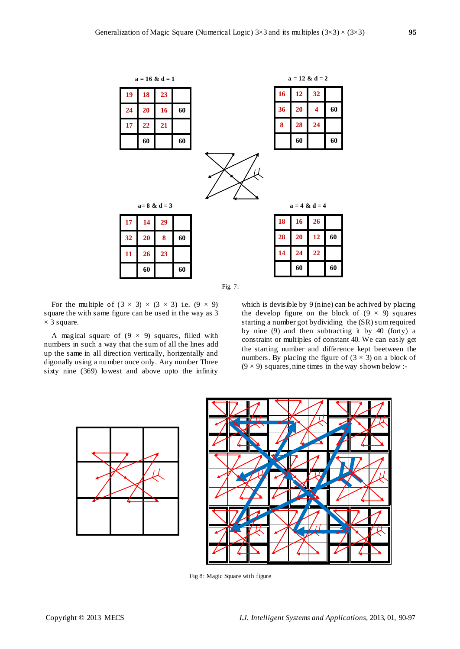|    |    | $a = 16$ & $d = 1$ |    |  |  |  |           |    | $a = 12 \& d = 2$ |    |
|----|----|--------------------|----|--|--|--|-----------|----|-------------------|----|
| 19 | 18 | 23                 |    |  |  |  | <b>16</b> | 12 | 32                |    |
| 24 | 20 | 16                 | 60 |  |  |  | 36        | 20 | 4                 | 60 |
| 17 | 22 | 21                 |    |  |  |  | 8         | 28 | 24                |    |
|    | 60 |                    | 60 |  |  |  |           | 60 |                   | 60 |
|    |    |                    |    |  |  |  |           |    |                   |    |
|    |    | $a=8$ & $d=3$      |    |  |  |  |           |    | $a = 4 & d = 4$   |    |
| 17 | 14 | 29                 |    |  |  |  | 18        | 16 | 26                |    |
| 32 | 20 | 8                  | 60 |  |  |  | 28        | 20 | 12                | 60 |
| 11 | 26 | 23                 |    |  |  |  | 14        | 24 | 22                |    |



For the multiple of  $(3 \times 3) \times (3 \times 3)$  i.e.  $(9 \times 9)$ square the with same figure can be used in the way as 3  $\times$  3 square.

A magical square of  $(9 \times 9)$  squares, filled with numbers in such a way that the sum of all the lines add up the same in all direction vertically, horizentally and digonally using a number once only. Any number Three sixty nine (369) lowest and above upto the infinity

which is devisible by 9 (nine) can be achived by placing the develop figure on the block of  $(9 \times 9)$  squares starting a number got bydividing the (SR) sum required by nine (9) and then subtracting it by 40 (forty) a constraint or multiples of constant 40. We can easly get the starting number and difference kept beetween the numbers. By placing the figure of  $(3 \times 3)$  on a block of  $(9 \times 9)$  squares, nine times in the way shown below :-





Fig 8: Magic Square with figure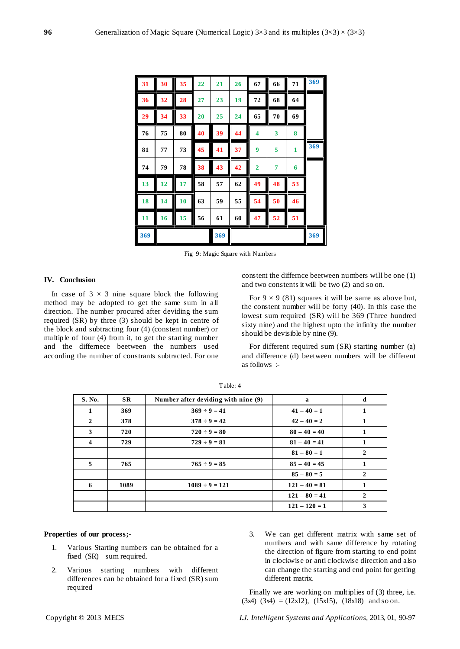| 31  | 30 | 35 | 22 | 21  | 26 | 67             | 66 | 71           | 369 |
|-----|----|----|----|-----|----|----------------|----|--------------|-----|
| 36  | 32 | 28 | 27 | 23  | 19 | 72             | 68 | 64           |     |
| 29  | 34 | 33 | 20 | 25  | 24 | 65             | 70 | 69           |     |
| 76  | 75 | 80 | 40 | 39  | 44 | 4              | 3  | 8            |     |
| 81  | 77 | 73 | 45 | 41  | 37 | 9              | 5  | $\mathbf{1}$ | 369 |
| 74  | 79 | 78 | 38 | 43  | 42 | $\overline{2}$ | 7  | 6            |     |
| 13  | 12 | 17 | 58 | 57  | 62 | 49             | 48 | 53           |     |
| 18  | 14 | 10 | 63 | 59  | 55 | 54             | 50 | 46           |     |
| 11  | 16 | 15 | 56 | 61  | 60 | 47             | 52 | 51           |     |
| 369 |    |    |    | 369 |    |                |    |              | 369 |

Fig 9: Magic Square with Numbers

# **IV. Conclusion**

In case of  $3 \times 3$  nine square block the following method may be adopted to get the same sum in all direction. The number procured after deviding the sum required (SR) by three (3) should be kept in centre of the block and subtracting four (4) (constent number) or multiple of four (4) from it, to get the starting number and the differnece beetween the numbers used according the number of constrants subtracted. For one

constent the differnce beetween numbers will be one (1) and two constents it will be two (2) and so on.

For  $9 \times 9$  (81) squares it will be same as above but, the constent number will be forty (40). In this case the lowest sum required (SR) will be 369 (Three hundred sixty nine) and the highest upto the infinity the number should be devisible by nine (9).

For different required sum (SR) starting number (a) and difference (d) beetween numbers will be different as follows :-

| <b>S. No.</b>           | <b>SR</b> | Number after deviding with nine (9) | a               | d            |
|-------------------------|-----------|-------------------------------------|-----------------|--------------|
| 1                       | 369       | $369 \div 9 = 41$                   | $41 - 40 = 1$   | 1            |
| $\mathbf{2}$            | 378       | $378 \div 9 = 42$                   | $42 - 40 = 2$   |              |
| 3                       | 720       | $720 \div 9 = 80$                   | $80 - 40 = 40$  | 1            |
| $\overline{\mathbf{4}}$ | 729       | $729 \div 9 = 81$                   | $81 - 40 = 41$  | 1            |
|                         |           |                                     | $81 - 80 = 1$   | 2            |
| 5                       | 765       | $765 \div 9 = 85$                   | $85 - 40 = 45$  |              |
|                         |           |                                     | $85 - 80 = 5$   | $\mathbf{2}$ |
| 6                       | 1089      | $1089 \div 9 = 121$                 | $121 - 40 = 81$ | 1            |
|                         |           |                                     | $121 - 80 = 41$ | 2            |
|                         |           |                                     | $121 - 120 = 1$ | 3            |

Table: 4

# **Properties of our process;-**

- 1. Various Starting numbers can be obtained for a fixed (SR) sum required.
- 2. Various starting numbers with different differences can be obtained for a fixed (SR) sum required
- 3. We can get different matrix with same set of numbers and with same difference by rotating the direction of figure from starting to end point in clockwise or anti clockwise direction and also can change the starting and end point for getting different matrix.

Finally we are working on multiplies of (3) three, i.e.  $(3x4)$   $(3x4) = (12x12)$ ,  $(15x15)$ ,  $(18x18)$  and so on.